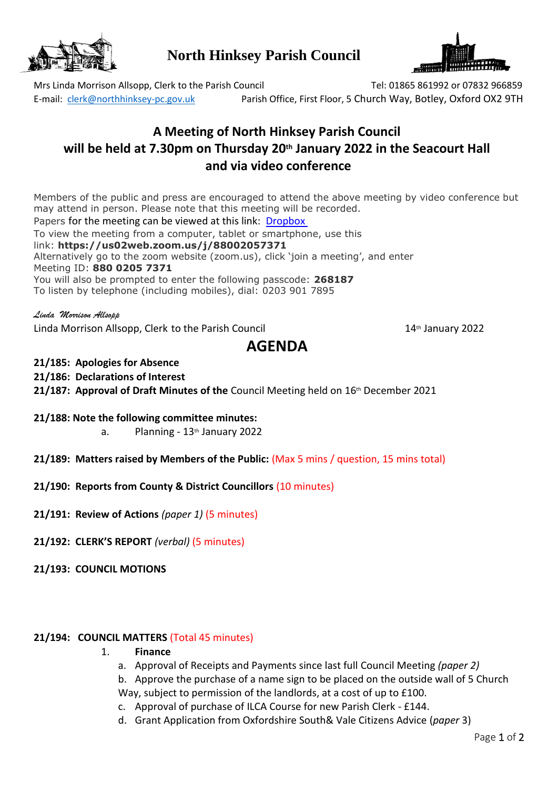

**North Hinksey Parish Council**



E-mail: [clerk@northhinksey-pc.gov.uk](mailto:clerk@northhinksey-pc.gov.uk) Parish Office, First Floor, 5 Church Way, Botley, Oxford OX2 9TH

Mrs Linda Morrison Allsopp, Clerk to the Parish Council Tel: 01865 861992 or 07832 966859

## **A Meeting of North Hinksey Parish Council will be held at 7.30pm on Thursday 20th January 2022 in the Seacourt Hall and via video conference**

Members of the public and press are encouraged to attend the above meeting by video conference but may attend in person. Please note that this meeting will be recorded.

Papers for the meeting can be viewed at this link: [Dropbox](https://www.dropbox.com/sh/ge65o6eiwknwxnj/AADSpOC3aC7TgzRHEq5IIPEJa?dl=0)

To view the meeting from a computer, tablet or smartphone, use this

link: **https://us02web.zoom.us/j/88002057371**

Alternatively go to the zoom website (zoom.us), click 'join a meeting', and enter Meeting ID: **880 0205 7371**

You will also be prompted to enter the following passcode: **268187**

To listen by telephone (including mobiles), dial: 0203 901 7895

*Linda Morrison Allsopp* Linda Morrison Allsopp, Clerk to the Parish Council 14th January 2022

# **AGENDA**

- **21/185: Apologies for Absence**
- **21/186: Declarations of Interest**
- **21/187: Approval of Draft Minutes of the** Council Meeting held on 16th December 2021
- **21/188: Note the following committee minutes:**
	- a. Planning 13<sup>th</sup> January 2022
- **21/189: Matters raised by Members of the Public:** (Max 5 mins / question, 15 mins total)
- **21/190: Reports from County & District Councillors** (10 minutes)
- **21/191: Review of Actions** *(paper 1)* (5 minutes)
- **21/192: CLERK'S REPORT** *(verbal)* (5 minutes)
- **21/193: COUNCIL MOTIONS**

#### **21/194: COUNCIL MATTERS** (Total 45 minutes)

- 1. **Finance**
	- a. Approval of Receipts and Payments since last full Council Meeting *(paper 2)*
	- b. Approve the purchase of a name sign to be placed on the outside wall of 5 Church Way, subject to permission of the landlords, at a cost of up to £100.
	- c. Approval of purchase of ILCA Course for new Parish Clerk £144.
	- d. Grant Application from Oxfordshire South& Vale Citizens Advice (*paper* 3)